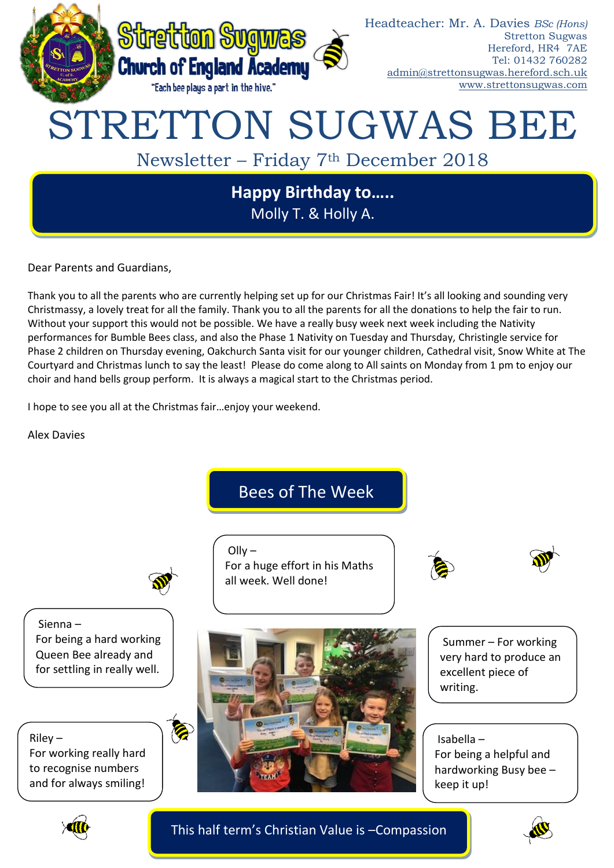

Dear Parents and Guardians,

Thank you to all the parents who are currently helping set up for our Christmas Fair! It's all looking and sounding very Christmassy, a lovely treat for all the family. Thank you to all the parents for all the donations to help the fair to run. Without your support this would not be possible. We have a really busy week next week including the Nativity performances for Bumble Bees class, and also the Phase 1 Nativity on Tuesday and Thursday, Christingle service for Phase 2 children on Thursday evening, Oakchurch Santa visit for our younger children, Cathedral visit, Snow White at The Courtyard and Christmas lunch to say the least! Please do come along to All saints on Monday from 1 pm to enjoy our choir and hand bells group perform. It is always a magical start to the Christmas period.

I hope to see you all at the Christmas fair…enjoy your weekend.

Alex Davies

Bees of The Week



 $O$ llv – For a huge effort in his Maths all week. Well done!



Sienna – For being a hard working Queen Bee already and for settling in really well.

Riley – For working really hard to recognise numbers and for always smiling!



Summer – For working very hard to produce an excellent piece of writing.

Isabella – For being a helpful and hardworking Busy bee – keep it up!



This half term's Christian Value is –Compassion